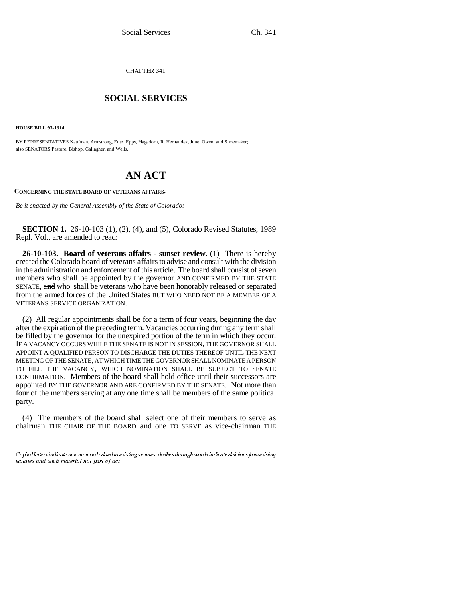CHAPTER 341

## \_\_\_\_\_\_\_\_\_\_\_\_\_\_\_ **SOCIAL SERVICES** \_\_\_\_\_\_\_\_\_\_\_\_\_\_\_

**HOUSE BILL 93-1314**

BY REPRESENTATIVES Kaufman, Armstrong, Entz, Epps, Hagedorn, R. Hernandez, June, Owen, and Shoemaker; also SENATORS Pastore, Bishop, Gallagher, and Wells.

## **AN ACT**

**CONCERNING THE STATE BOARD OF VETERANS AFFAIRS.**

*Be it enacted by the General Assembly of the State of Colorado:*

**SECTION 1.** 26-10-103 (1), (2), (4), and (5), Colorado Revised Statutes, 1989 Repl. Vol., are amended to read:

**26-10-103. Board of veterans affairs - sunset review.** (1) There is hereby created the Colorado board of veterans affairs to advise and consult with the division in the administration and enforcement of this article. The board shall consist of seven members who shall be appointed by the governor AND CONFIRMED BY THE STATE SENATE, and who shall be veterans who have been honorably released or separated from the armed forces of the United States BUT WHO NEED NOT BE A MEMBER OF A VETERANS SERVICE ORGANIZATION.

four of the members serving at any one time shall be members of the same political (2) All regular appointments shall be for a term of four years, beginning the day after the expiration of the preceding term. Vacancies occurring during any term shall be filled by the governor for the unexpired portion of the term in which they occur. IF A VACANCY OCCURS WHILE THE SENATE IS NOT IN SESSION, THE GOVERNOR SHALL APPOINT A QUALIFIED PERSON TO DISCHARGE THE DUTIES THEREOF UNTIL THE NEXT MEETING OF THE SENATE, AT WHICH TIME THE GOVERNOR SHALL NOMINATE A PERSON TO FILL THE VACANCY, WHICH NOMINATION SHALL BE SUBJECT TO SENATE CONFIRMATION. Members of the board shall hold office until their successors are appointed BY THE GOVERNOR AND ARE CONFIRMED BY THE SENATE. Not more than party.

(4) The members of the board shall select one of their members to serve as chairman THE CHAIR OF THE BOARD and one TO SERVE as vice-chairman THE

Capital letters indicate new material added to existing statutes; dashes through words indicate deletions from existing statutes and such material not part of act.